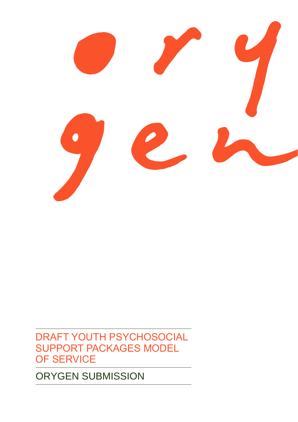# ORYGEN SUBMISSION

DRAFT YOUTH PSYCHOSOCIAL SUPPORT PACKAGES MODEL OF SERVICE

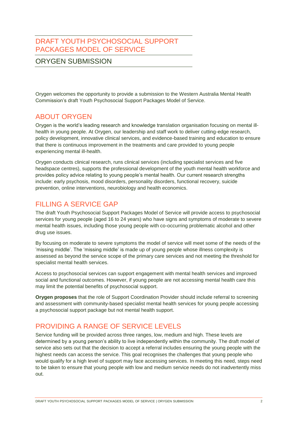#### DRAFT YOUTH PSYCHOSOCIAL SUPPORT PACKAGES MODEL OF SERVICE

#### ORYGEN SUBMISSION

Orygen welcomes the opportunity to provide a submission to the Western Australia Mental Health Commission's draft Youth Psychosocial Support Packages Model of Service.

#### ABOUT ORYGEN

Orygen is the world's leading research and knowledge translation organisation focusing on mental illhealth in young people. At Orygen, our leadership and staff work to deliver cutting-edge research, policy development, innovative clinical services, and evidence-based training and education to ensure that there is continuous improvement in the treatments and care provided to young people experiencing mental ill-health.

Orygen conducts clinical research, runs clinical services (including specialist services and five headspace centres), supports the professional development of the youth mental health workforce and provides policy advice relating to young people's mental health. Our current research strengths include: early psychosis, mood disorders, personality disorders, functional recovery, suicide prevention, online interventions, neurobiology and health economics.

#### FILLING A SERVICE GAP

The draft Youth Psychosocial Support Packages Model of Service will provide access to psychosocial services for young people (aged 16 to 24 years) who have signs and symptoms of moderate to severe mental health issues, including those young people with co-occurring problematic alcohol and other drug use issues.

By focusing on moderate to severe symptoms the model of service will meet some of the needs of the 'missing middle'. The 'missing middle' is made up of young people whose illness complexity is assessed as beyond the service scope of the primary care services and not meeting the threshold for specialist mental health services.

Access to psychosocial services can support engagement with mental health services and improved social and functional outcomes. However, if young people are not accessing mental health care this may limit the potential benefits of psychosocial support.

**Orygen proposes** that the role of Support Coordination Provider should include referral to screening and assessment with community-based specialist mental health services for young people accessing a psychosocial support package but not mental health support.

## PROVIDING A RANGE OF SERVICE LEVELS

Service funding will be provided across three ranges, low, medium and high. These levels are determined by a young person's ability to live independently within the community. The draft model of service also sets out that the decision to accept a referral includes ensuring the young people with the highest needs can access the service. This goal recognises the challenges that young people who would qualify for a high level of support may face accessing services. In meeting this need, steps need to be taken to ensure that young people with low and medium service needs do not inadvertently miss out.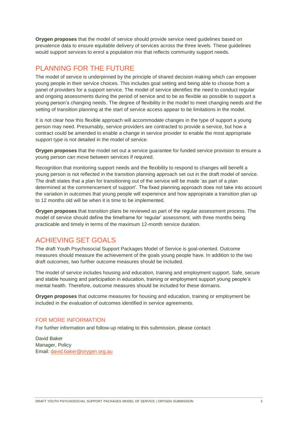**Orygen proposes** that the model of service should provide service need guidelines based on prevalence data to ensure equitable delivery of services across the three levels. These guidelines would support services to enrol a population mix that reflects community support needs.

# PLANNING FOR THE FUTURE

The model of service is underpinned by the principle of shared decision making which can empower young people in their service choices. This includes goal setting and being able to choose from a panel of providers for a support service. The model of service identifies the need to conduct regular and ongoing assessments during the period of service and to be as flexible as possible to support a young person's changing needs. The degree of flexibility in the model to meet changing needs and the setting of transition planning at the start of service access appear to be limitations in the model.

It is not clear how this flexible approach will accommodate changes in the type of support a young person may need. Presumably, service providers are contracted to provide a service, but how a contract could be amended to enable a change in service provider to enable the most appropriate support type is not detailed in the model of service.

**Orygen proposes** that the model set out a service guarantee for funded service provision to ensure a young person can move between services if required.

Recognition that monitoring support needs and the flexibility to respond to changes will benefit a young person is not reflected in the transition planning approach set out in the draft model of service. The draft states that a plan for transitioning out of the service will be made 'as part of a plan determined at the commencement of support'. The fixed planning approach does not take into account the variation in outcomes that young people will experience and how appropriate a transition plan up to 12 months old will be when it is time to be implemented.

**Orygen proposes** that transition plans be reviewed as part of the regular assessment process. The model of service should define the timeframe for 'regular' assessment, with three months being practicable and timely in terms of the maximum 12-month service duration.

## ACHIEVING SET GOALS

The draft Youth Psychosocial Support Packages Model of Service is goal-oriented. Outcome measures should measure the achievement of the goals young people have. In addition to the two draft outcomes, two further outcome measures should be included.

The model of service includes housing and education, training and employment support. Safe, secure and stable housing and participation in education, training or employment support young people's mental health. Therefore, outcome measures should be included for these domains.

**Orygen proposes** that outcome measures for housing and education, training or employment be included in the evaluation of outcomes identified in service agreements.

#### FOR MORE INFORMATION

For further information and follow-up relating to this submission, please contact:

David Baker Manager, Policy Email: [david.baker@orygen.org.au](mailto:david.baker@orygen.org.au)